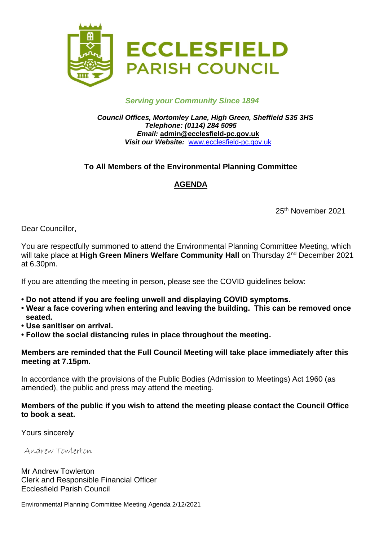

#### *Serving your Community Since 1894*

*Council Offices, Mortomley Lane, High Green, Sheffield S35 3HS Telephone: (0114) 284 5095 Email:* **admin@ecclesfield-pc.gov.uk** *Visit our Website:* [www.ecclesfield-pc.gov.uk](http://www.ecclesfield-pc.gov.uk/)

## **To All Members of the Environmental Planning Committee**

# **AGENDA**

25th November 2021

Dear Councillor,

You are respectfully summoned to attend the Environmental Planning Committee Meeting, which will take place at High Green Miners Welfare Community Hall on Thursday 2<sup>nd</sup> December 2021 at 6.30pm.

If you are attending the meeting in person, please see the COVID guidelines below:

- **Do not attend if you are feeling unwell and displaying COVID symptoms.**
- **Wear a face covering when entering and leaving the building. This can be removed once seated.**
- **Use sanitiser on arrival.**
- **Follow the social distancing rules in place throughout the meeting.**

#### **Members are reminded that the Full Council Meeting will take place immediately after this meeting at 7.15pm.**

In accordance with the provisions of the Public Bodies (Admission to Meetings) Act 1960 (as amended), the public and press may attend the meeting.

### **Members of the public if you wish to attend the meeting please contact the Council Office to book a seat.**

Yours sincerely

Andrew Towlerton

Mr Andrew Towlerton Clerk and Responsible Financial Officer Ecclesfield Parish Council

Environmental Planning Committee Meeting Agenda 2/12/2021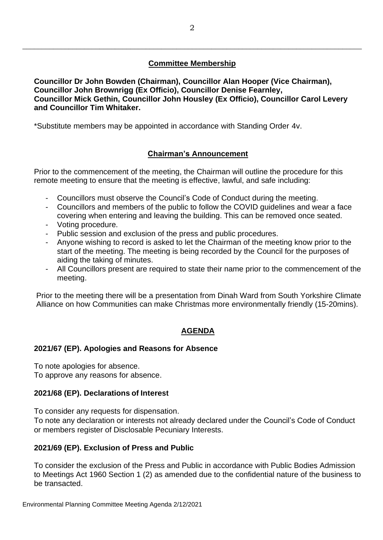## **Committee Membership**

\_\_\_\_\_\_\_\_\_\_\_\_\_\_\_\_\_\_\_\_\_\_\_\_\_\_\_\_\_\_\_\_\_\_\_\_\_\_\_\_\_\_\_\_\_\_\_\_\_\_\_\_\_\_\_\_\_\_\_\_\_\_\_\_\_\_\_\_\_\_\_\_\_\_\_\_\_\_\_\_\_\_\_\_\_\_\_\_

**Councillor Dr John Bowden (Chairman), Councillor Alan Hooper (Vice Chairman), Councillor John Brownrigg (Ex Officio), Councillor Denise Fearnley, Councillor Mick Gethin, Councillor John Housley (Ex Officio), Councillor Carol Levery and Councillor Tim Whitaker.**

\*Substitute members may be appointed in accordance with Standing Order 4v.

## **Chairman's Announcement**

Prior to the commencement of the meeting, the Chairman will outline the procedure for this remote meeting to ensure that the meeting is effective, lawful, and safe including:

- Councillors must observe the Council's Code of Conduct during the meeting.
- Councillors and members of the public to follow the COVID guidelines and wear a face covering when entering and leaving the building. This can be removed once seated.
- Voting procedure.
- Public session and exclusion of the press and public procedures.
- Anyone wishing to record is asked to let the Chairman of the meeting know prior to the start of the meeting. The meeting is being recorded by the Council for the purposes of aiding the taking of minutes.
- All Councillors present are required to state their name prior to the commencement of the meeting.

Prior to the meeting there will be a presentation from Dinah Ward from South Yorkshire Climate Alliance on how Communities can make Christmas more environmentally friendly (15-20mins).

## **AGENDA**

## **2021/67 (EP). Apologies and Reasons for Absence**

To note apologies for absence. To approve any reasons for absence.

#### **2021/68 (EP). Declarations of Interest**

To consider any requests for dispensation.

To note any declaration or interests not already declared under the Council's Code of Conduct or members register of Disclosable Pecuniary Interests.

#### **2021/69 (EP). Exclusion of Press and Public**

To consider the exclusion of the Press and Public in accordance with Public Bodies Admission to Meetings Act 1960 Section 1 (2) as amended due to the confidential nature of the business to be transacted.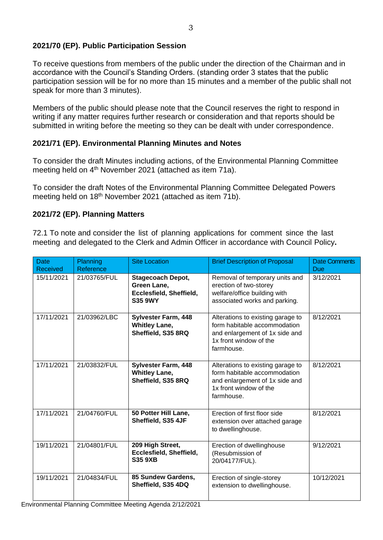## **2021/70 (EP). Public Participation Session**

To receive questions from members of the public under the direction of the Chairman and in accordance with the Council's Standing Orders. (standing order 3 states that the public participation session will be for no more than 15 minutes and a member of the public shall not speak for more than 3 minutes).

Members of the public should please note that the Council reserves the right to respond in writing if any matter requires further research or consideration and that reports should be submitted in writing before the meeting so they can be dealt with under correspondence.

## **2021/71 (EP). Environmental Planning Minutes and Notes**

To consider the draft Minutes including actions, of the Environmental Planning Committee meeting held on 4<sup>th</sup> November 2021 (attached as item 71a).

To consider the draft Notes of the Environmental Planning Committee Delegated Powers meeting held on 18<sup>th</sup> November 2021 (attached as item 71b).

## **2021/72 (EP). Planning Matters**

72.1 To note and consider the list of planning applications for comment since the last meeting and delegated to the Clerk and Admin Officer in accordance with Council Policy**.**

| <b>Date</b><br><b>Received</b> | Planning<br>Reference | <b>Site Location</b>                                                                 | <b>Brief Description of Proposal</b>                                                                                                        | <b>Date Comments</b><br>Due |
|--------------------------------|-----------------------|--------------------------------------------------------------------------------------|---------------------------------------------------------------------------------------------------------------------------------------------|-----------------------------|
| 15/11/2021                     | 21/03765/FUL          | <b>Stagecoach Depot,</b><br>Green Lane,<br>Ecclesfield, Sheffield,<br><b>S35 9WY</b> | Removal of temporary units and<br>erection of two-storey<br>welfare/office building with<br>associated works and parking.                   | 3/12/2021                   |
| 17/11/2021                     | 21/03962/LBC          | <b>Sylvester Farm, 448</b><br><b>Whitley Lane,</b><br>Sheffield, S35 8RQ             | Alterations to existing garage to<br>form habitable accommodation<br>and enlargement of 1x side and<br>1x front window of the<br>farmhouse. | 8/12/2021                   |
| 17/11/2021                     | 21/03832/FUL          | <b>Sylvester Farm, 448</b><br><b>Whitley Lane,</b><br>Sheffield, S35 8RQ             | Alterations to existing garage to<br>form habitable accommodation<br>and enlargement of 1x side and<br>1x front window of the<br>farmhouse. | 8/12/2021                   |
| 17/11/2021                     | 21/04760/FUL          | 50 Potter Hill Lane,<br>Sheffield, S35 4JF                                           | Erection of first floor side<br>extension over attached garage<br>to dwellinghouse.                                                         | 8/12/2021                   |
| 19/11/2021                     | 21/04801/FUL          | 209 High Street,<br>Ecclesfield, Sheffield,<br><b>S35 9XB</b>                        | Erection of dwellinghouse<br>(Resubmission of<br>20/04177/FUL).                                                                             | 9/12/2021                   |
| 19/11/2021                     | 21/04834/FUL          | 85 Sundew Gardens,<br>Sheffield, S35 4DQ                                             | Erection of single-storey<br>extension to dwellinghouse.                                                                                    | 10/12/2021                  |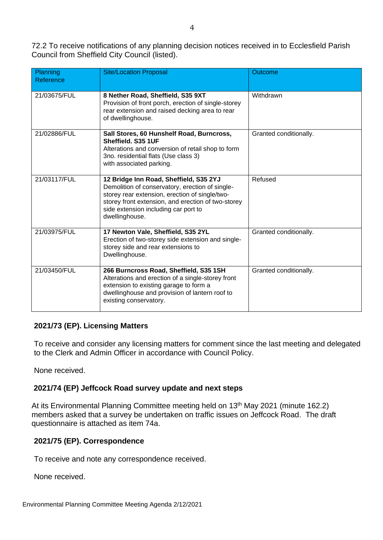72.2 To receive notifications of any planning decision notices received in to Ecclesfield Parish Council from Sheffield City Council (listed).

| Planning<br>Reference | <b>Site/Location Proposal</b>                                                                                                                                                                                                                               | Outcome                |
|-----------------------|-------------------------------------------------------------------------------------------------------------------------------------------------------------------------------------------------------------------------------------------------------------|------------------------|
| 21/03675/FUL          | 8 Nether Road, Sheffield, S35 9XT<br>Provision of front porch, erection of single-storey<br>rear extension and raised decking area to rear<br>of dwellinghouse.                                                                                             | Withdrawn              |
| 21/02886/FUL          | Sall Stores, 60 Hunshelf Road, Burncross,<br>Sheffield. S35 1UF<br>Alterations and conversion of retail shop to form<br>3no. residential flats (Use class 3)<br>with associated parking.                                                                    | Granted conditionally. |
| 21/03117/FUL          | 12 Bridge Inn Road, Sheffield, S35 2YJ<br>Demolition of conservatory, erection of single-<br>storey rear extension, erection of single/two-<br>storey front extension, and erection of two-storey<br>side extension including car port to<br>dwellinghouse. | Refused                |
| 21/03975/FUL          | 17 Newton Vale, Sheffield, S35 2YL<br>Erection of two-storey side extension and single-<br>storey side and rear extensions to<br>Dwellinghouse.                                                                                                             | Granted conditionally. |
| 21/03450/FUL          | 266 Burncross Road, Sheffield, S35 1SH<br>Alterations and erection of a single-storey front<br>extension to existing garage to form a<br>dwellinghouse and provision of lantern roof to<br>existing conservatory.                                           | Granted conditionally. |

#### **2021/73 (EP). Licensing Matters**

To receive and consider any licensing matters for comment since the last meeting and delegated to the Clerk and Admin Officer in accordance with Council Policy.

None received.

#### **2021/74 (EP) Jeffcock Road survey update and next steps**

At its Environmental Planning Committee meeting held on 13<sup>th</sup> May 2021 (minute 162.2) members asked that a survey be undertaken on traffic issues on Jeffcock Road. The draft questionnaire is attached as item 74a.

#### **2021/75 (EP). Correspondence**

To receive and note any correspondence received.

None received.